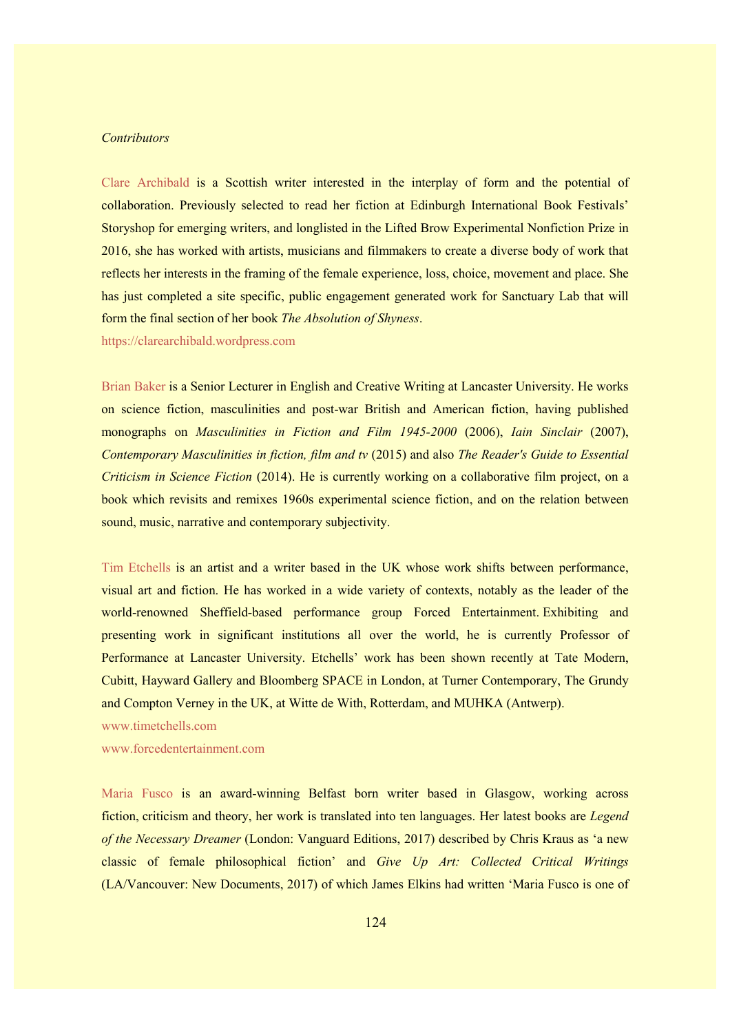## *Contributors*

Clare Archibald is a Scottish writer interested in the interplay of form and the potential of collaboration. Previously selected to read her fiction at Edinburgh International Book Festivals' Storyshop for emerging writers, and longlisted in the Lifted Brow Experimental Nonfiction Prize in 2016, she has worked with artists, musicians and filmmakers to create a diverse body of work that reflects her interests in the framing of the female experience, loss, choice, movement and place. She has just completed a site specific, public engagement generated work for Sanctuary Lab that will form the final section of her book *The Absolution of Shyness*.

https://clarearchibald.wordpress.com

Brian Baker is a Senior Lecturer in English and Creative Writing at Lancaster University. He works on science fiction, masculinities and post-war British and American fiction, having published monographs on *Masculinities in Fiction and Film 1945-2000* (2006), *Iain Sinclair* (2007), *Contemporary Masculinities in fiction, film and tv* (2015) and also *The Reader's Guide to Essential Criticism in Science Fiction* (2014). He is currently working on a collaborative film project, on a book which revisits and remixes 1960s experimental science fiction, and on the relation between sound, music, narrative and contemporary subjectivity.

Tim Etchells is an artist and a writer based in the UK whose work shifts between performance, visual art and fiction. He has worked in a wide variety of contexts, notably as the leader of the world-renowned Sheffield-based performance group Forced Entertainment. Exhibiting and presenting work in significant institutions all over the world, he is currently Professor of Performance at Lancaster University. Etchells' work has been shown recently at Tate Modern, Cubitt, Hayward Gallery and Bloomberg SPACE in London, at Turner Contemporary, The Grundy and Compton Verney in the UK, at Witte de With, Rotterdam, and MUHKA (Antwerp).

www.timetchells.com

www.forcedentertainment.com

Maria Fusco is an award-winning Belfast born writer based in Glasgow, working across fiction, criticism and theory, her work is translated into ten languages. Her latest books are *Legend of the Necessary Dreamer* (London: Vanguard Editions, 2017) described by Chris Kraus as 'a new classic of female philosophical fiction' and *Give Up Art: Collected Critical Writings* (LA/Vancouver: New Documents, 2017) of which James Elkins had written 'Maria Fusco is one of